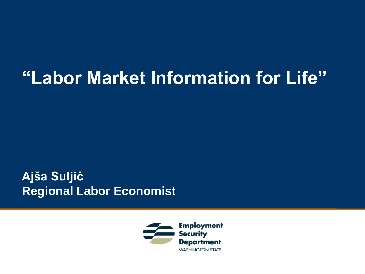#### **"Labor Market Information for Life"**

**Ajša Suljiċ Regional Labor Economist** 

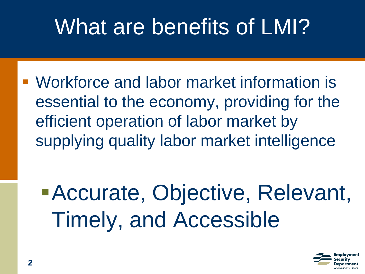#### What are benefits of LMI?

■ Workforce and labor market information is essential to the economy, providing for the efficient operation of labor market by supplying quality labor market intelligence

**Accurate, Objective, Relevant,** Timely, and Accessible

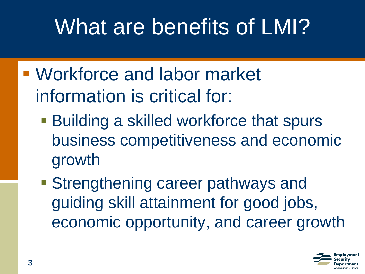#### What are benefits of LMI?

- Workforce and labor market information is critical for:
	- **Building a skilled workforce that spurs** business competitiveness and economic growth
	- **Extremgthening career pathways and** guiding skill attainment for good jobs, economic opportunity, and career growth

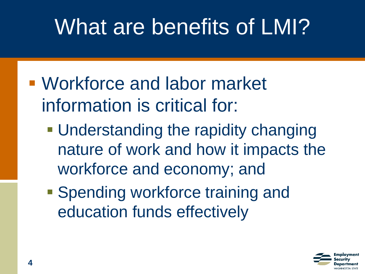#### What are benefits of LMI?

- Workforce and labor market information is critical for:
	- **Understanding the rapidity changing** nature of work and how it impacts the workforce and economy; and
	- **Spending workforce training and** education funds effectively

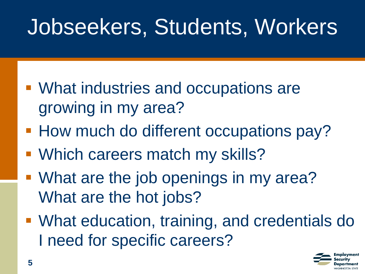#### Jobseekers, Students, Workers

- What industries and occupations are growing in my area?
- How much do different occupations pay?
- Which careers match my skills?
- **What are the job openings in my area?** What are the hot jobs?
- What education, training, and credentials do I need for specific careers?

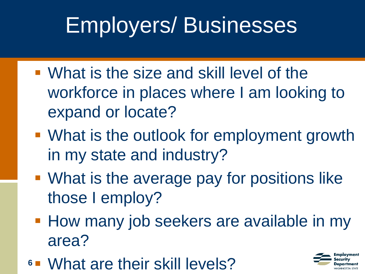#### Employers/ Businesses

- What is the size and skill level of the workforce in places where I am looking to expand or locate?
- What is the outlook for employment growth in my state and industry?
- What is the average pay for positions like those I employ?
- **How many job seekers are available in my** area?
- **6** What are their skill levels?

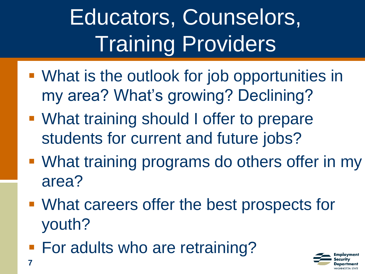# Educators, Counselors, Training Providers

- What is the outlook for job opportunities in my area? What's growing? Declining?
- What training should I offer to prepare students for current and future jobs?
- What training programs do others offer in my area?
- What careers offer the best prospects for youth?
- For adults who are retraining?

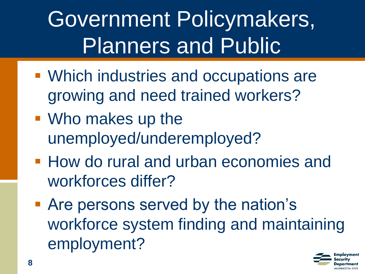Government Policymakers, Planners and Public

- Which industries and occupations are growing and need trained workers?
- Who makes up the unemployed/underemployed?
- How do rural and urban economies and workforces differ?
- Are persons served by the nation's workforce system finding and maintaining employment?

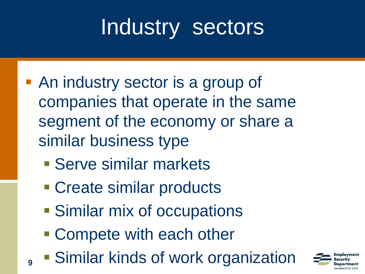#### Industry sectors

- An industry sector is a group of companies that operate in the same segment of the economy or share a similar business type
	- **E** Serve similar markets
	- Create similar products
	- Similar mix of occupations
	- Compete with each other

**9**

**• Similar kinds of work organization** 

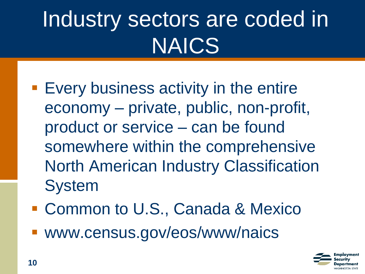# Industry sectors are coded in NAICS

- **Exery business activity in the entire** economy – private, public, non-profit, product or service – can be found somewhere within the comprehensive North American Industry Classification System
- Common to U.S., Canada & Mexico
- www.census.gov/eos/www/naics

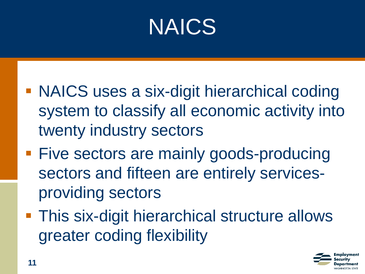#### NAICS

- **NAICS uses a six-digit hierarchical coding** system to classify all economic activity into twenty industry sectors
- **Five sectors are mainly goods-producing** sectors and fifteen are entirely servicesproviding sectors
- **This six-digit hierarchical structure allows** greater coding flexibility

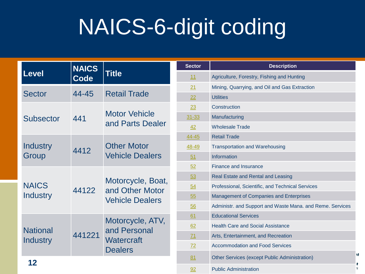#### NAICS-6-digit coding

| <b>Level</b>                | <b>NAICS</b><br><b>Code</b> | <b>Title</b>                                                     |
|-----------------------------|-----------------------------|------------------------------------------------------------------|
| <b>Sector</b>               | 44-45                       | <b>Retail Trade</b>                                              |
| <b>Subsector</b>            | 441                         | <b>Motor Vehicle</b><br>and Parts Dealer                         |
| Industry<br>Group           | 4412                        | <b>Other Motor</b><br><b>Vehicle Dealers</b>                     |
| <b>NAICS</b><br>Industry    | 44122                       | Motorcycle, Boat,<br>and Other Motor<br><b>Vehicle Dealers</b>   |
| <b>National</b><br>Industry | 441221                      | Motorcycle, ATV,<br>and Personal<br>Watercraft<br><b>Dealers</b> |
| 12                          |                             |                                                                  |

| <b>Sector</b> | <b>Description</b>                                         |
|---------------|------------------------------------------------------------|
| 11            | Agriculture, Forestry, Fishing and Hunting                 |
| 21            | Mining, Quarrying, and Oil and Gas Extraction              |
| 22            | <b>Utilities</b>                                           |
| 23            | Construction                                               |
| $31 - 33$     | Manufacturing                                              |
| 42            | <b>Wholesale Trade</b>                                     |
| 44-45         | <b>Retail Trade</b>                                        |
| 48-49         | <b>Transportation and Warehousing</b>                      |
| 51            | Information                                                |
| 52            | <b>Finance and Insurance</b>                               |
| 53            | Real Estate and Rental and Leasing                         |
| 54            | Professional, Scientific, and Technical Services           |
| 55            | <b>Management of Companies and Enterprises</b>             |
| 56            | Administr. and Support and Waste Mana. and Reme. Services  |
| 61            | <b>Educational Services</b>                                |
| 62            | <b>Health Care and Social Assistance</b>                   |
| 71            | Arts, Entertainment, and Recreation                        |
| 72            | <b>Accommodation and Food Services</b>                     |
| 81            | ۱t<br><b>Other Services (except Public Administration)</b> |
| 92            | Έ<br><b>Public Administration</b>                          |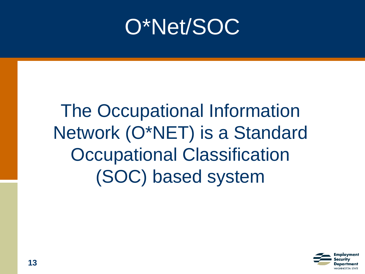#### O\*Net/SOC

#### The Occupational Information Network (O\*NET) is a Standard Occupational Classification (SOC) based system

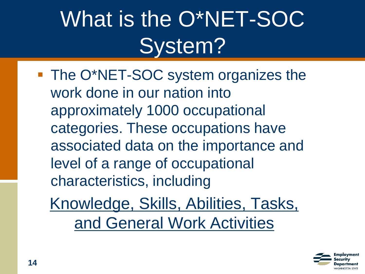## What is the O\*NET-SOC System?

■ The O\*NET-SOC system organizes the work done in our nation into approximately 1000 occupational categories. These occupations have associated data on the importance and level of a range of occupational characteristics, including

Knowledge, Skills, Abilities, Tasks, and General Work Activities

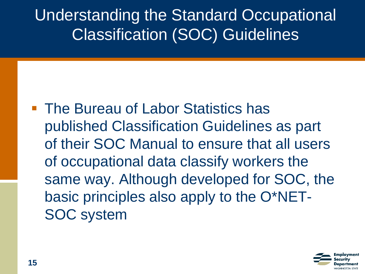Understanding the Standard Occupational Classification (SOC) Guidelines

■ The Bureau of Labor Statistics has published Classification Guidelines as part of their SOC Manual to ensure that all users of occupational data classify workers the same way. Although developed for SOC, the basic principles also apply to the O\*NET-SOC system

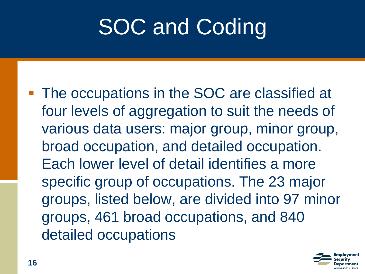### **SOC and Coding**

■ The occupations in the SOC are classified at four levels of aggregation to suit the needs of various data users: major group, minor group, broad occupation, and detailed occupation. Each lower level of detail identifies a more specific group of occupations. The 23 major groups, listed below, are divided into 97 minor groups, 461 broad occupations, and 840 detailed occupations

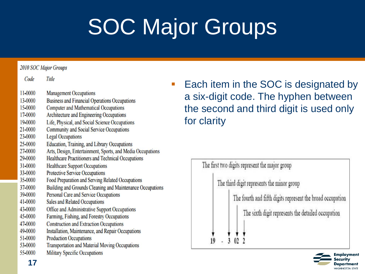# SOC Major Groups

#### **2010 SOC Major Groups**

| Code    | Title                                                      |
|---------|------------------------------------------------------------|
| 11-0000 | <b>Management Occupations</b>                              |
| 13-0000 | <b>Business and Financial Operations Occupations</b>       |
| 15-0000 | <b>Computer and Mathematical Occupations</b>               |
| 17-0000 | Architecture and Engineering Occupations                   |
| 19-0000 | Life, Physical, and Social Science Occupations             |
| 21-0000 | <b>Community and Social Service Occupations</b>            |
| 23-0000 | <b>Legal Occupations</b>                                   |
| 25-0000 | Education, Training, and Library Occupations               |
| 27-0000 | Arts, Design, Entertainment, Sports, and Media Occupations |
| 29-0000 | Healthcare Practitioners and Technical Occupations         |
| 31-0000 | <b>Healthcare Support Occupations</b>                      |
| 33-0000 | <b>Protective Service Occupations</b>                      |
| 35-0000 | Food Preparation and Serving Related Occupations           |
| 37-0000 | Building and Grounds Cleaning and Maintenance Occupations  |
| 39-0000 | Personal Care and Service Occupations                      |
| 41-0000 | Sales and Related Occupations                              |
| 43-0000 | Office and Administrative Support Occupations              |
| 45-0000 | Farming, Fishing, and Forestry Occupations                 |
| 47-0000 | <b>Construction and Extraction Occupations</b>             |
| 49-0000 | Installation, Maintenance, and Repair Occupations          |
| 51-0000 | <b>Production Occupations</b>                              |
| 53-0000 | <b>Transportation and Material Moving Occupations</b>      |
| 55-0000 | <b>Military Specific Occupations</b>                       |
|         |                                                            |

■ Each item in the SOC is designated by a six-digit code. The hyphen between the second and third digit is used only for clarity

| The third digit represents the minor group                 |
|------------------------------------------------------------|
| The fourth and fifth digits represent the broad occupation |
| The sixth digit represents the detailed occupation         |
|                                                            |

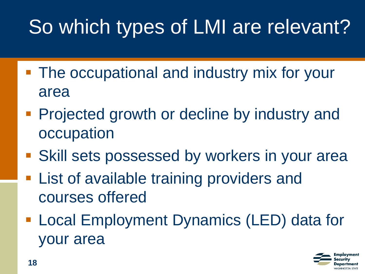#### So which types of LMI are relevant?

- **The occupational and industry mix for your** area
- **Projected growth or decline by industry and** occupation
- **Skill sets possessed by workers in your area**
- **List of available training providers and** courses offered
- **Local Employment Dynamics (LED) data for** your area

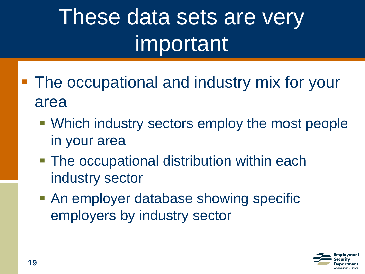- The occupational and industry mix for your area
	- Which industry sectors employ the most people in your area
	- **The occupational distribution within each** industry sector
	- **An employer database showing specific** employers by industry sector

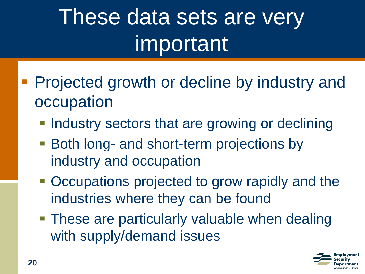- Projected growth or decline by industry and occupation
	- **. Industry sectors that are growing or declining**
	- **Both long- and short-term projections by** industry and occupation
	- Occupations projected to grow rapidly and the industries where they can be found
	- **These are particularly valuable when dealing** with supply/demand issues

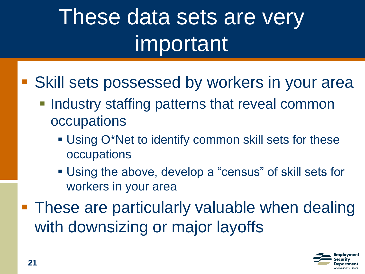- Skill sets possessed by workers in your area
	- **Industry staffing patterns that reveal common** occupations
		- Using O\*Net to identify common skill sets for these occupations
		- Using the above, develop a "census" of skill sets for workers in your area
- These are particularly valuable when dealing with downsizing or major layoffs

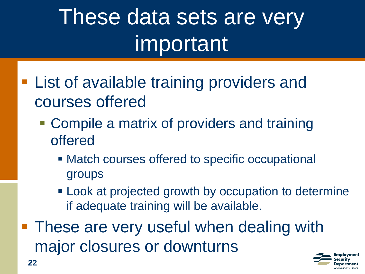- **Example 1** List of available training providers and courses offered
	- **Compile a matrix of providers and training** offered
		- Match courses offered to specific occupational groups
		- **EXECT** Look at projected growth by occupation to determine if adequate training will be available.
- **These are very useful when dealing with** major closures or downturns

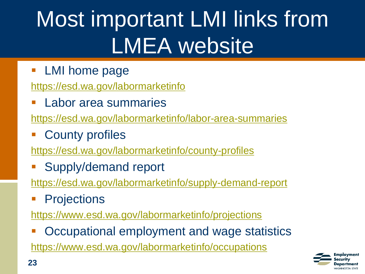# Most important LMI links from LMEA website

**LMI home page** 

<https://esd.wa.gov/labormarketinfo>

**Labor area summaries** 

<https://esd.wa.gov/labormarketinfo/labor-area-summaries>

**County profiles** 

<https://esd.wa.gov/labormarketinfo/county-profiles>

Supply/demand report

<https://esd.wa.gov/labormarketinfo/supply-demand-report>

**Projections** 

<https://www.esd.wa.gov/labormarketinfo/projections>

Occupational employment and wage statistics <https://www.esd.wa.gov/labormarketinfo/occupations>